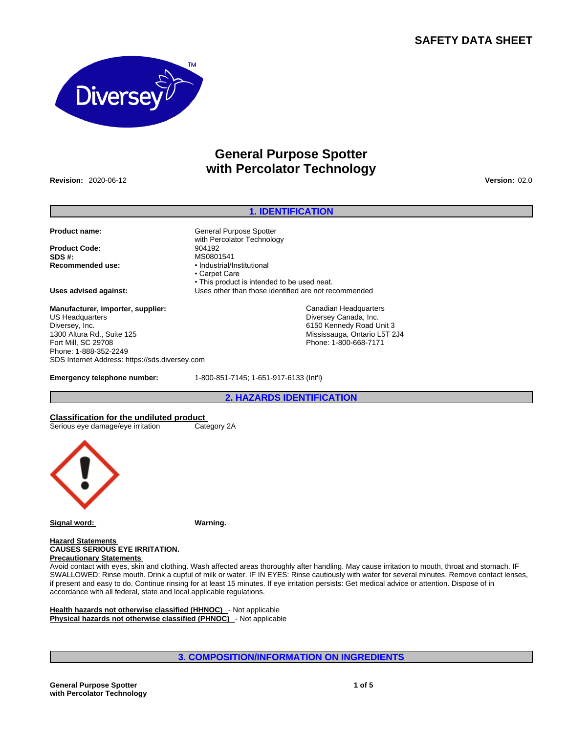# **SAFETY DATA SHEET**



# **General Purpose Spotter with Percolator Technology**

**Revision:** 2020-06-12 **Version:** 02.0

## **1. IDENTIFICATION**

Canadian Headquarters Diversey Canada, Inc. 6150 Kennedy Road Unit 3 Mississauga, Ontario L5T 2J4 Phone: 1-800-668-7171

**Product name: General Purpose Spotter** 

**Product Code:**<br>SDS #: **Recommended use:** • Industrial/Institutional

**Uses advised against:** Uses other than those identified are not recommended

**Manufacturer, importer, supplier:** US Headquarters Diversey, Inc. 1300 Altura Rd., Suite 125 Fort Mill, SC 29708 Phone: 1-888-352-2249 SDS Internet Address: https://sds.diversey.com

**Emergency telephone number:** 1-800-851-7145; 1-651-917-6133 (Int'l)

• This product is intended to be used neat.

with Percolator Technology<br>904192

**SDS #:** MS0801541

• Carpet Care

**2. HAZARDS IDENTIFICATION**

**Classification for the undiluted product** Serious eye damage/eye irritation



**Signal word: Warning.**

#### **Hazard Statements CAUSES SERIOUS EYE IRRITATION. Precautionary Statements**

Avoid contact with eyes, skin and clothing. Wash affected areas thoroughly after handling. May cause irritation to mouth, throat and stomach. IF SWALLOWED: Rinse mouth. Drink a cupful of milk or water. IF IN EYES: Rinse cautiously with water for several minutes. Remove contact lenses, if present and easy to do. Continue rinsing for at least 15 minutes. If eye irritation persists: Get medical advice or attention. Dispose of in accordance with all federal, state and local applicable regulations.

**Health hazards not otherwise classified (HHNOC)** - Not applicable **Physical hazards not otherwise classified (PHNOC)** - Not applicable

**3. COMPOSITION/INFORMATION ON INGREDIENTS**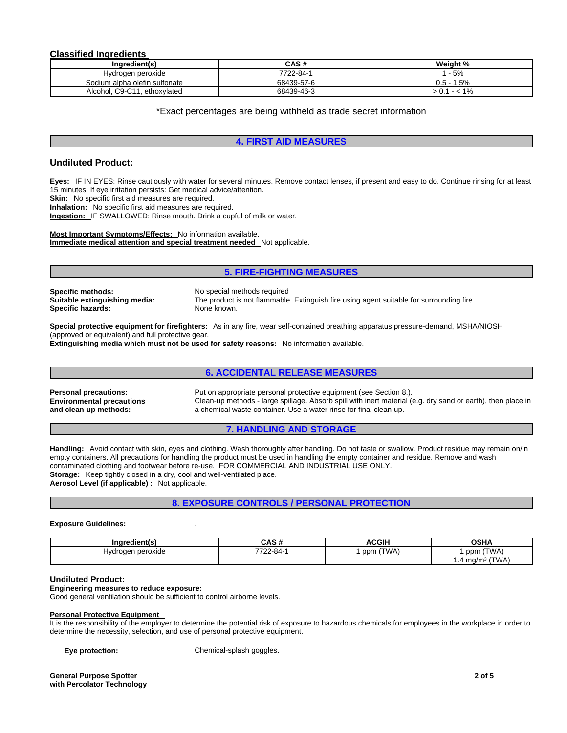## **Classified Ingredients**

| Ingredient(s)                   | CAS#       | Weight %      |
|---------------------------------|------------|---------------|
| Hvdrogen peroxide               | 7722-84-1  | $-5%$         |
| Sodium alpha olefin sulfonate   | 68439-57-6 | $0.5 - 1.5\%$ |
| Alcohol, C9-C11.<br>ethoxvlated | 68439-46-3 | $1\%$<br>- -  |

\*Exact percentages are being withheld as trade secret information

## **4. FIRST AID MEASURES**

## **Undiluted Product:**

**Eyes:** IF IN EYES: Rinse cautiously with water for several minutes. Remove contact lenses, if present and easy to do. Continue rinsing for at least 15 minutes. If eye irritation persists: Get medical advice/attention.

**Skin:** No specific first aid measures are required.

**Inhalation:** No specific first aid measures are required.

**Ingestion:** IF SWALLOWED: Rinse mouth. Drink a cupful of milk or water.

#### **Most Important Symptoms/Effects:** No information available. **Immediate medical attention and special treatment needed** Not applicable.

**5. FIRE-FIGHTING MEASURES**

**Specific methods:** No special methods required Specific hazards: None known.

**Suitable extinguishing media:** The product is not flammable. Extinguish fire using agent suitable for surrounding fire.

**Special protective equipment for firefighters:** As in any fire, wear self-contained breathing apparatus pressure-demand, MSHA/NIOSH (approved or equivalent) and full protective gear.

**Extinguishing media which must not be used for safety reasons:** No information available.

## **6. ACCIDENTAL RELEASE MEASURES**

**Environmental precautions and clean-up methods:** 

**Personal precautions:** Put on appropriate personal protective equipment (see Section 8.). Clean-up methods - large spillage. Absorb spill with inert material (e.g. dry sand or earth), then place in a chemical waste container. Use a water rinse for final clean-up.

## **7. HANDLING AND STORAGE**

**Handling:** Avoid contact with skin, eyes and clothing. Wash thoroughly after handling. Do not taste or swallow. Product residue may remain on/in empty containers. All precautions for handling the product must be used in handling the empty container and residue. Remove and wash contaminated clothing and footwear before re-use. FOR COMMERCIAL AND INDUSTRIAL USE ONLY. **Storage:** Keep tightly closed in a dry, cool and well-ventilated place. **Aerosol Level (if applicable) :** Not applicable.

## **8. EXPOSURE CONTROLS / PERSONAL PROTECTION**

### **Exposure Guidelines:** .

| Ingredient(s)     | CAS#            | <b>ACGIH</b> | OSHA                           |
|-------------------|-----------------|--------------|--------------------------------|
| Hydrogen peroxide | $7722 - 84 - 1$ | (TWA)<br>ppm | (TWA)<br>ppm                   |
|                   |                 |              | (TWA)<br>. 4 mg/m <sup>3</sup> |

## **Undiluted Product:**

#### **Engineering measures to reduce exposure:**

Good general ventilation should be sufficient to control airborne levels.

#### **Personal Protective Equipment**

It is the responsibility of the employer to determine the potential risk of exposure to hazardous chemicals for employees in the workplace in order to determine the necessity, selection, and use of personal protective equipment.

**Eye protection:** Chemical-splash goggles.

**General Purpose Spotter with Percolator Technology**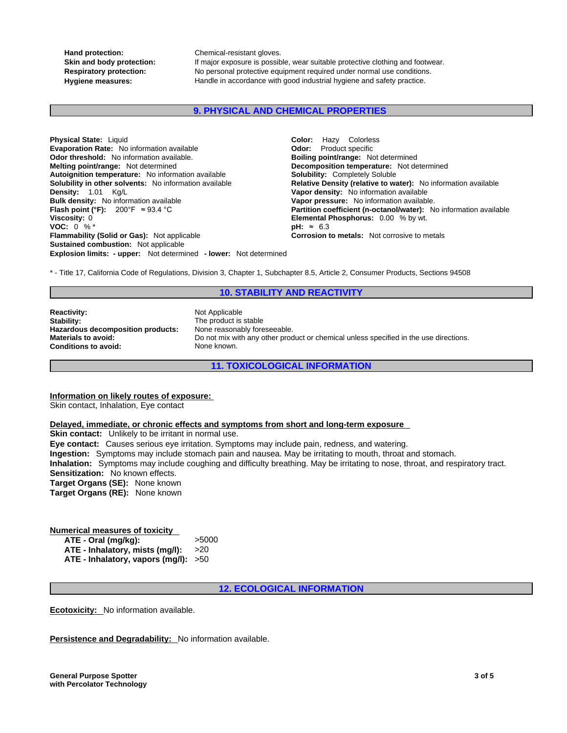**Hand protection:** Chemical-resistant gloves.

Skin and body protection: If major exposure is possible, wear suitable protective clothing and footwear. **Respiratory protection:** No personal protective equipment required under normal use conditions. **Hygiene measures:** Handle in accordance with good industrial hygiene and safety practice.

## **9. PHYSICAL AND CHEMICAL PROPERTIES**

**Explosion limits: - upper:** Not determined **- lower:** Not determined **Physical State:** Liquid **Color:** Hazy Colorless **Evaporation Rate:** No information available **Configuration Codor:** Product specific<br> **Odor threshold:** No information available. **Configuration Bolling point/range:** Not determined **Odor threshold:** No information available. **Melting point/range:** Not determined **Decomposition temperature:** Not determined **Autoignition temperature:** No information available **Solubility:** Completely Soluble **Density:** 1.01 Kg/L **Vapor density:** No information available **Bulk density:** No information available **Vapor pressure:** No information available. **Flash point (°F):** 200°F ≈ 93.4 °C **Partition coefficient (n-octanol/water):** No information available **Viscosity:** 0<br> **Partition coefficient (n-octanol/water):** No information available **Viscosity:** 0.00 % by wt. **VOC:** 0 % \* **pH:** ≈ 6.3 **Flammability (Solid or Gas):** Not applicable **Corrosion to metals:** Not corrosive to metals **Sustained combustion:** Not applicable

**Relative Density (relative to water):** No information available **Elemental Phosphorus:** 0.00 % by wt.

\* - Title 17, California Code of Regulations, Division 3, Chapter 1, Subchapter 8.5, Article 2, Consumer Products, Sections 94508

## **10. STABILITY AND REACTIVITY**

**Reactivity:** Not Applicable Stability: Not Applicable Stability: **Hazardous decomposition products: Conditions to avoid:** None known.

The product is stable<br>None reasonably foreseeable. **Materials to avoid:** Do not mix with any other product or chemical unless specified in the use directions.

**11. TOXICOLOGICAL INFORMATION**

## **Information on likely routes of exposure:**

Skin contact, Inhalation, Eye contact

### **Delayed, immediate, or chronic effects and symptoms from short and long-term exposure**

**Skin contact:** Unlikely to be irritant in normal use. **Eye contact:** Causes serious eye irritation. Symptoms may include pain, redness, and watering. **Ingestion:** Symptoms may include stomach pain and nausea. May be irritating to mouth, throat and stomach. **Inhalation:** Symptoms may include coughing and difficulty breathing. May be irritating to nose, throat, and respiratory tract. **Sensitization:** No known effects. **Target Organs (SE):** None known **Target Organs (RE):** None known

#### **Numerical measures of toxicity ATE - Oral (mg/kg):** >5000 **ATE - Inhalatory, mists (mg/l):** >20

**ATE - Inhalatory, vapors (mg/l):** >50

## **12. ECOLOGICAL INFORMATION**

**Ecotoxicity:** No information available.

**Persistence and Degradability:** No information available.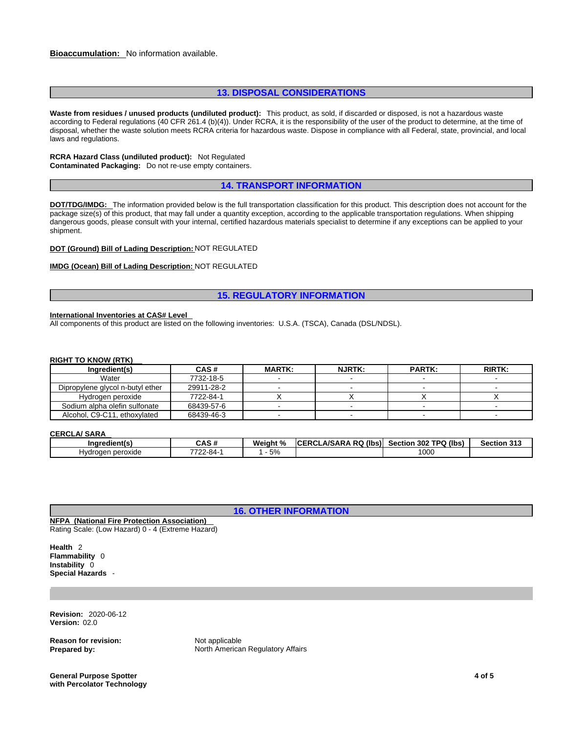## **13. DISPOSAL CONSIDERATIONS**

**Waste from residues / unused products (undiluted product):** This product, as sold, if discarded or disposed, is not a hazardous waste according to Federal regulations (40 CFR 261.4 (b)(4)). Under RCRA, it is the responsibility of the user of the product to determine, at the time of disposal, whether the waste solution meets RCRA criteria for hazardous waste. Dispose in compliance with all Federal, state, provincial, and local laws and regulations.

#### **RCRA Hazard Class (undiluted product):** Not Regulated **Contaminated Packaging:** Do not re-use empty containers.

## **14. TRANSPORT INFORMATION**

**DOT/TDG/IMDG:** The information provided below is the full transportation classification for this product. This description does not account for the package size(s) of this product, that may fall under a quantity exception, according to the applicable transportation regulations. When shipping dangerous goods, please consult with your internal, certified hazardous materials specialist to determine if any exceptions can be applied to your shipment.

**DOT (Ground) Bill of Lading Description:** NOT REGULATED

## **IMDG (Ocean) Bill of Lading Description:** NOT REGULATED

## **15. REGULATORY INFORMATION**

#### **International Inventories at CAS# Level**

All components of this product are listed on the following inventories: U.S.A. (TSCA), Canada (DSL/NDSL).

#### **RIGHT TO KNOW (RTK)**

| Ingredient(s)                    | CAS#       | <b>MARTK:</b> | <b>NJRTK:</b> | <b>PARTK:</b> | <b>RIRTK:</b> |
|----------------------------------|------------|---------------|---------------|---------------|---------------|
| Water                            | 7732-18-5  |               |               |               |               |
| Dipropylene glycol n-butyl ether | 29911-28-2 |               |               |               |               |
| Hydrogen peroxide                | 7722-84-1  |               |               |               |               |
| Sodium alpha olefin sulfonate    | 68439-57-6 |               |               |               |               |
| Alcohol, C9-C11, ethoxylated     | 68439-46-3 |               |               |               |               |

## **CERCLA/ SARA**

| <b>Ingredient(s</b>            | CAS #                      | Weiaht<br>$\sim$ 0/ | (lbs)<br>.A/SARA<br><b>RQ</b><br><b>ICERCI</b> | TPQ (lbs)<br>302<br><b>Section</b> | Section 313 |
|--------------------------------|----------------------------|---------------------|------------------------------------------------|------------------------------------|-------------|
| peroxide י<br>Hvdr<br>urogen : | 2-84-<br>770c<br><u>__</u> | 5%                  |                                                | 1000                               |             |

**16. OTHER INFORMATION**

**NFPA (National Fire Protection Association)**  Rating Scale: (Low Hazard) 0 - 4 (Extreme Hazard)

**Health** 2 **Flammability** 0 **Instability** 0 **Special Hazards** -

**Revision:** 2020-06-12 **Version:** 02.0

**Reason for revision:** Not applicable

**Prepared by:** North American Regulatory Affairs

**General Purpose Spotter with Percolator Technology**